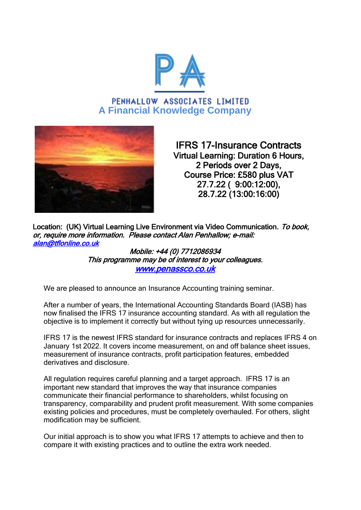

PENHALLOW ASSOCIATES LIMITED **A Financial Knowledge Company**



IFRS 17-Insurance Contracts Virtual Learning: Duration 6 Hours, 2 Periods over 2 Days, Course Price: £580 plus VAT 27.7.22 ( 9:00:12:00), 28.7.22 (13:00:16:00)

Location: (UK) Virtual Learning Live Environment via Video Communication. To book, or, require more information. Please contact Alan Penhallow; e-mail: [alan@tflonline.co.uk](mailto:alan@tflonline.co.uk) 

> Mobile: +44 (0) 7712086934 This programme may be of interest to your colleagues. [www.penassco.co.uk](http://www.penassco.co.uk/)

We are pleased to announce an Insurance Accounting training seminar.

After a number of years, the International Accounting Standards Board (IASB) has now finalised the IFRS 17 insurance accounting standard. As with all regulation the objective is to implement it correctly but without tying up resources unnecessarily.

IFRS 17 is the newest IFRS standard for insurance contracts and replaces IFRS 4 on January 1st 2022. It covers income measurement, on and off balance sheet issues, measurement of insurance contracts, profit participation features, embedded derivatives and disclosure.

All regulation requires careful planning and a target approach. IFRS 17 is an important new standard that improves the way that insurance companies communicate their financial performance to shareholders, whilst focusing on transparency, comparability and prudent profit measurement. With some companies existing policies and procedures, must be completely overhauled. For others, slight modification may be sufficient.

Our initial approach is to show you what IFRS 17 attempts to achieve and then to compare it with existing practices and to outline the extra work needed.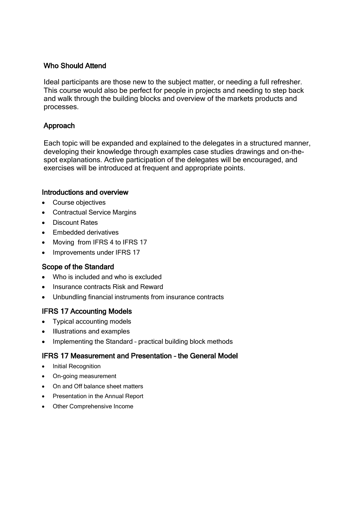## Who Should Attend

Ideal participants are those new to the subject matter, or needing a full refresher. This course would also be perfect for people in projects and needing to step back and walk through the building blocks and overview of the markets products and processes.

## Approach

Each topic will be expanded and explained to the delegates in a structured manner, developing their knowledge through examples case studies drawings and on-thespot explanations. Active participation of the delegates will be encouraged, and exercises will be introduced at frequent and appropriate points.

#### Introductions and overview

- Course objectives
- Contractual Service Margins
- Discount Rates
- Embedded derivatives
- Moving from IFRS 4 to IFRS 17
- Improvements under IFRS 17

### Scope of the Standard

- Who is included and who is excluded
- Insurance contracts Risk and Reward
- Unbundling financial instruments from insurance contracts

# IFRS 17 Accounting Models

- Typical accounting models
- Illustrations and examples
- Implementing the Standard practical building block methods

### IFRS 17 Measurement and Presentation – the General Model

- Initial Recognition
- On-going measurement
- On and Off balance sheet matters
- Presentation in the Annual Report
- Other Comprehensive Income